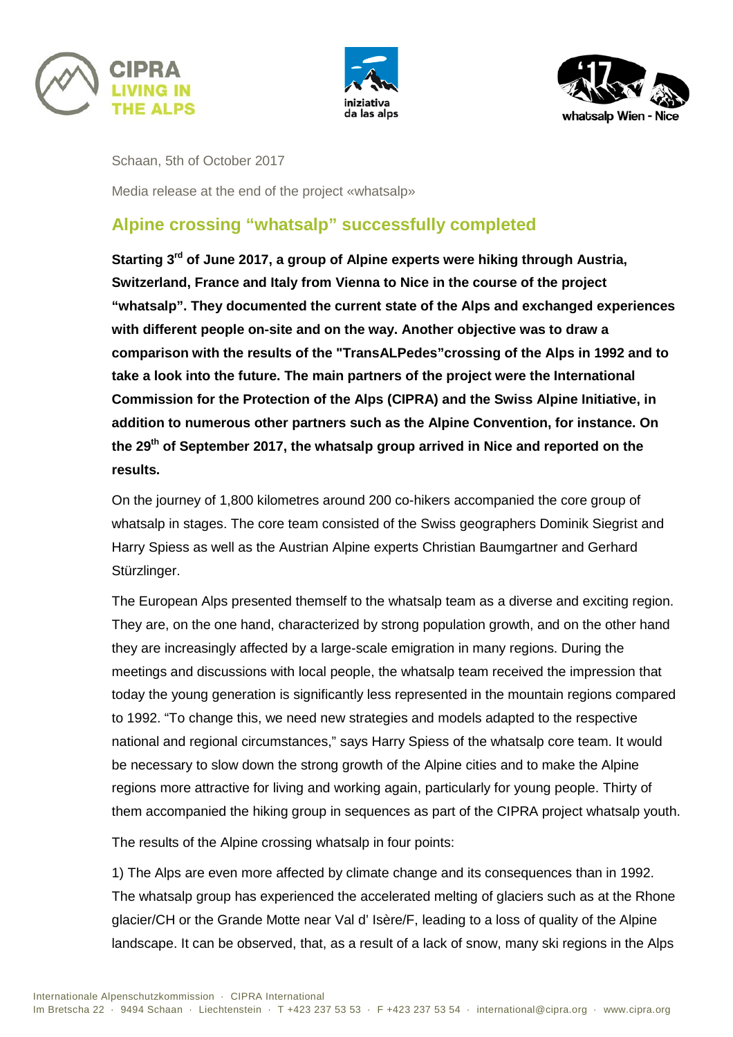





Schaan, 5th of October 2017

Media release at the end of the project «whatsalp»

## **Alpine crossing "whatsalp" successfully completed**

**Starting 3rd of June 2017, a group of Alpine experts were hiking through Austria, Switzerland, France and Italy from Vienna to Nice in the course of the project "whatsalp". They documented the current state of the Alps and exchanged experiences with different people on-site and on the way. Another objective was to draw a comparison with the results of the "TransALPedes"crossing of the Alps in 1992 and to take a look into the future. The main partners of the project were the International Commission for the Protection of the Alps (CIPRA) and the Swiss Alpine Initiative, in addition to numerous other partners such as the Alpine Convention, for instance. On the 29th of September 2017, the whatsalp group arrived in Nice and reported on the results.**

On the journey of 1,800 kilometres around 200 co-hikers accompanied the core group of whatsalp in stages. The core team consisted of the Swiss geographers Dominik Siegrist and Harry Spiess as well as the Austrian Alpine experts Christian Baumgartner and Gerhard Stürzlinger.

The European Alps presented themself to the whatsalp team as a diverse and exciting region. They are, on the one hand, characterized by strong population growth, and on the other hand they are increasingly affected by a large-scale emigration in many regions. During the meetings and discussions with local people, the whatsalp team received the impression that today the young generation is significantly less represented in the mountain regions compared to 1992. "To change this, we need new strategies and models adapted to the respective national and regional circumstances," says Harry Spiess of the whatsalp core team. It would be necessary to slow down the strong growth of the Alpine cities and to make the Alpine regions more attractive for living and working again, particularly for young people. Thirty of them accompanied the hiking group in sequences as part of the CIPRA project whatsalp youth.

The results of the Alpine crossing whatsalp in four points:

1) The Alps are even more affected by climate change and its consequences than in 1992. The whatsalp group has experienced the accelerated melting of glaciers such as at the Rhone glacier/CH or the Grande Motte near Val d' Isère/F, leading to a loss of quality of the Alpine landscape. It can be observed, that, as a result of a lack of snow, many ski regions in the Alps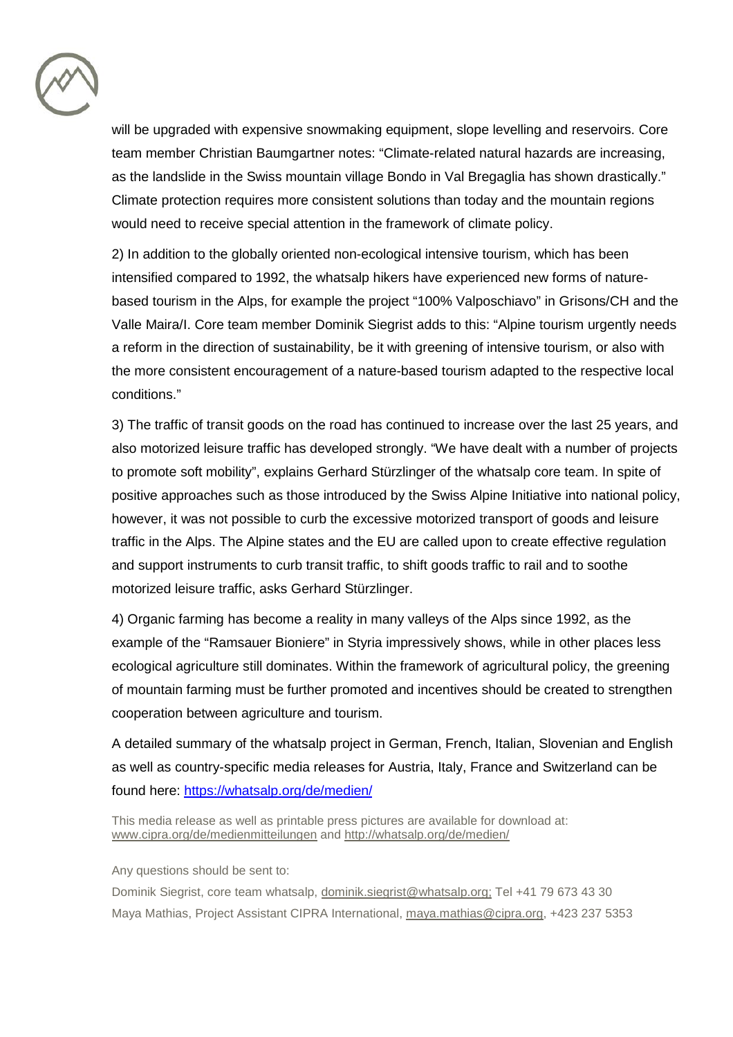

will be upgraded with expensive snowmaking equipment, slope levelling and reservoirs. Core team member Christian Baumgartner notes: "Climate-related natural hazards are increasing, as the landslide in the Swiss mountain village Bondo in Val Bregaglia has shown drastically." Climate protection requires more consistent solutions than today and the mountain regions would need to receive special attention in the framework of climate policy.

2) In addition to the globally oriented non-ecological intensive tourism, which has been intensified compared to 1992, the whatsalp hikers have experienced new forms of naturebased tourism in the Alps, for example the project "100% Valposchiavo" in Grisons/CH and the Valle Maira/I. Core team member Dominik Siegrist adds to this: "Alpine tourism urgently needs a reform in the direction of sustainability, be it with greening of intensive tourism, or also with the more consistent encouragement of a nature-based tourism adapted to the respective local conditions."

3) The traffic of transit goods on the road has continued to increase over the last 25 years, and also motorized leisure traffic has developed strongly. "We have dealt with a number of projects to promote soft mobility", explains Gerhard Stürzlinger of the whatsalp core team. In spite of positive approaches such as those introduced by the Swiss Alpine Initiative into national policy, however, it was not possible to curb the excessive motorized transport of goods and leisure traffic in the Alps. The Alpine states and the EU are called upon to create effective regulation and support instruments to curb transit traffic, to shift goods traffic to rail and to soothe motorized leisure traffic, asks Gerhard Stürzlinger.

4) Organic farming has become a reality in many valleys of the Alps since 1992, as the example of the "Ramsauer Bioniere" in Styria impressively shows, while in other places less ecological agriculture still dominates. Within the framework of agricultural policy, the greening of mountain farming must be further promoted and incentives should be created to strengthen cooperation between agriculture and tourism.

A detailed summary of the whatsalp project in German, French, Italian, Slovenian and English as well as country-specific media releases for Austria, Italy, France and Switzerland can be found here: <https://whatsalp.org/de/medien/>

This media release as well as printable press pictures are available for download at: [www.cipra.org/de/medienmitteilungen](http://www.cipra.org/de/medienmitteilungen) and <http://whatsalp.org/de/medien/>

Any questions should be sent to:

Dominik Siegrist, core team whatsalp, [dominik.siegrist@whatsalp.org;](mailto:dominik.siegrist@whatsalp.org) Tel +41 79 673 43 30 Maya Mathias, Project Assistant CIPRA International, [maya.mathias@cipra.org,](mailto:maya.mathias@cipra.org) +423 237 5353